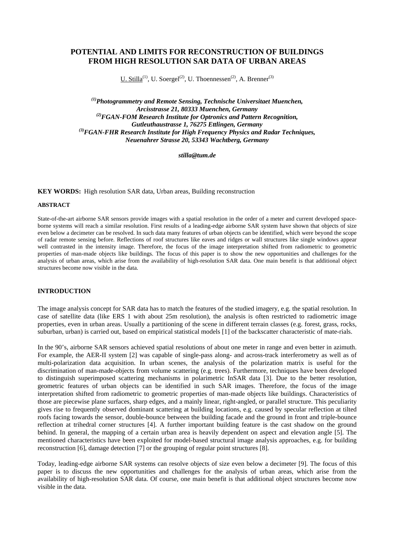# **POTENTIAL AND LIMITS FOR RECONSTRUCTION OF BUILDINGS FROM HIGH RESOLUTION SAR DATA OF URBAN AREAS**

U. Stilla<sup>(1)</sup>, U. Soergel<sup>(2)</sup>, U. Thoennessen<sup>(2)</sup>, A. Brenner<sup>(3)</sup>

*(1)Photogrammetry and Remote Sensing, Technische Universitaet Muenchen, Arcisstrasse 21, 80333 Muenchen, Germany (2)FGAN-FOM Research Institute for Optronics and Pattern Recognition, Gutleuthaustrasse 1, 76275 Ettlingen, Germany (3)FGAN-FHR Research Institute for High Frequency Physics and Radar Techniques, Neuenahrer Strasse 20, 53343 Wachtberg, Germany* 

*stilla@tum.de* 

**KEY WORDS:** High resolution SAR data, Urban areas, Building reconstruction

#### **ABSTRACT**

State-of-the-art airborne SAR sensors provide images with a spatial resolution in the order of a meter and current developed spaceborne systems will reach a similar resolution. First results of a leading-edge airborne SAR system have shown that objects of size even below a decimeter can be resolved. In such data many features of urban objects can be identified, which were beyond the scope of radar remote sensing before. Reflections of roof structures like eaves and ridges or wall structures like single windows appear well contrasted in the intensity image. Therefore, the focus of the image interpretation shifted from radiometric to geometric properties of man-made objects like buildings. The focus of this paper is to show the new opportunities and challenges for the analysis of urban areas, which arise from the availability of high-resolution SAR data. One main benefit is that additional object structures become now visible in the data.

### **INTRODUCTION**

The image analysis concept for SAR data has to match the features of the studied imagery, e.g. the spatial resolution. In case of satellite data (like ERS 1 with about 25m resolution), the analysis is often restricted to radiometric image properties, even in urban areas. Usually a partitioning of the scene in different terrain classes (e.g. forest, grass, rocks, suburban, urban) is carried out, based on empirical statistical models [1] of the backscatter characteristic of mate-rials.

In the 90's, airborne SAR sensors achieved spatial resolutions of about one meter in range and even better in azimuth. For example, the AER-II system [2] was capable of single-pass along- and across-track interferometry as well as of multi-polarization data acquisition. In urban scenes, the analysis of the polarization matrix is useful for the discrimination of man-made-objects from volume scattering (e.g. trees). Furthermore, techniques have been developed to distinguish superimposed scattering mechanisms in polarimetric InSAR data [3]. Due to the better resolution, geometric features of urban objects can be identified in such SAR images. Therefore, the focus of the image interpretation shifted from radiometric to geometric properties of man-made objects like buildings. Characteristics of those are piecewise plane surfaces, sharp edges, and a mainly linear, right-angled, or parallel structure. This peculiarity gives rise to frequently observed dominant scattering at building locations, e.g. caused by specular reflection at tilted roofs facing towards the sensor, double-bounce between the building facade and the ground in front and triple-bounce reflection at trihedral corner structures [4]. A further important building feature is the cast shadow on the ground behind. In general, the mapping of a certain urban area is heavily dependent on aspect and elevation angle [5]. The mentioned characteristics have been exploited for model-based structural image analysis approaches, e.g. for building reconstruction [6], damage detection [7] or the grouping of regular point structures [8].

Today, leading-edge airborne SAR systems can resolve objects of size even below a decimeter [9]. The focus of this paper is to discuss the new opportunities and challenges for the analysis of urban areas, which arise from the availability of high-resolution SAR data. Of course, one main benefit is that additional object structures become now visible in the data.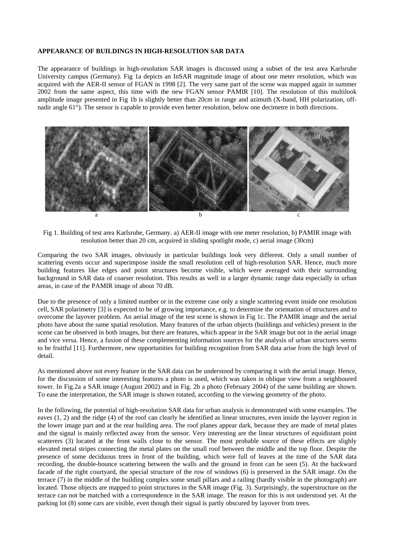#### **APPEARANCE OF BUILDINGS IN HIGH-RESOLUTION SAR DATA**

The appearance of buildings in high-resolution SAR images is discussed using a subset of the test area Karlsruhe University campus (Germany). Fig 1a depicts an InSAR magnitude image of about one meter resolution, which was acquired with the AER-II sensor of FGAN in 1998 [2]. The very same part of the scene was mapped again in summer 2002 from the same aspect, this time with the new FGAN sensor PAMIR [10]. The resolution of this multilook amplitude image presented in Fig 1b is slightly better than 20cm in range and azimuth (X-band, HH polarization, offnadir angle 61°). The sensor is capable to provide even better resolution, below one decimetre in both directions.



Fig 1. Building of test area Karlsruhe, Germany. a) AER-II image with one meter resolution, b) PAMIR image with resolution better than 20 cm, acquired in sliding spotlight mode, c) aerial image (30cm)

Comparing the two SAR images, obviously in particular buildings look very different. Only a small number of scattering events occur and superimpose inside the small resolution cell of high-resolution SAR. Hence, much more building features like edges and point structures become visible, which were averaged with their surrounding background in SAR data of coarser resolution. This results as well in a larger dynamic range data especially in urban areas, in case of the PAMIR image of about 70 dB.

Due to the presence of only a limited number or in the extreme case only a single scattering event inside one resolution cell, SAR polarimetry [3] is expected to be of growing importance, e.g. to determine the orientation of structures and to overcome the layover problem. An aerial image of the test scene is shown in Fig 1c. The PAMIR image and the aerial photo have about the same spatial resolution. Many features of the urban objects (buildings and vehicles) present in the scene can be observed in both images, but there are features, which appear in the SAR image but not in the aerial image and vice versa. Hence, a fusion of these complementing information sources for the analysis of urban structures seems to be fruitful [11]. Furthermore, new opportunities for building recognition from SAR data arise from the high level of detail.

As mentioned above not every feature in the SAR data can be understood by comparing it with the aerial image. Hence, for the discussion of some interesting features a photo is used, which was taken in oblique view from a neighboured tower. In Fig.2a a SAR image (August 2002) and in Fig. 2b a photo (February 2004) of the same building are shown. To ease the interpretation, the SAR image is shown rotated, according to the viewing geometry of the photo.

In the following, the potential of high-resolution SAR data for urban analysis is demonstrated with some examples. The eaves (1, 2) and the ridge (4) of the roof can clearly be identified as linear structures, even inside the layover region in the lower image part and at the rear building area. The roof planes appear dark, because they are made of metal plates and the signal is mainly reflected away from the sensor. Very interesting are the linear structures of equidistant point scatterers (3) located at the front walls close to the sensor. The most probable source of these effects are slighly elevated metal stripes connecting the metal plates on the small roof between the middle and the top floor. Despite the presence of some deciduous trees in front of the building, which were full of leaves at the time of the SAR data recording, the double-bounce scattering between the walls and the ground in front can be seen (5). At the backward facade of the right courtyard, the special structure of the row of windows (6) is preserved in the SAR image. On the terrace (7) in the middle of the building complex some small pillars and a railing (hardly visible in the photograph) are located. Those objects are mapped to point structures in the SAR image (Fig. 3). Surprisingly, the superstructure on the terrace can not be matched with a correspondence in the SAR image. The reason for this is not understood yet. At the parking lot (8) some cars are visible, even though their signal is partly obscured by layover from trees.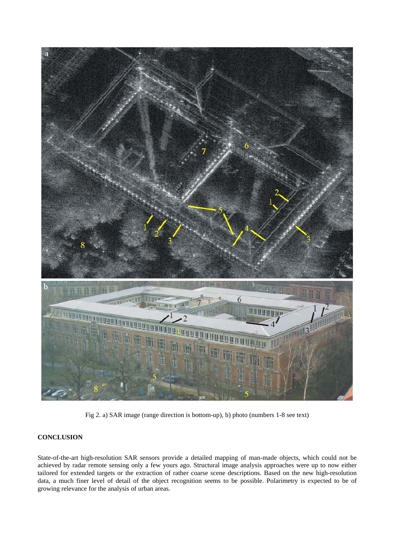

Fig 2. a) SAR image (range direction is bottom-up), b) photo (numbers 1-8 see text)

## **CONCLUSION**

State-of-the-art high-resolution SAR sensors provide a detailed mapping of man-made objects, which could not be achieved by radar remote sensing only a few yours ago. Structural image analysis approaches were up to now either tailored for extended targets or the extraction of rather coarse scene descriptions. Based on the new high-resolution data, a much finer level of detail of the object recognition seems to be possible. Polarimetry is expected to be of growing relevance for the analysis of urban areas.